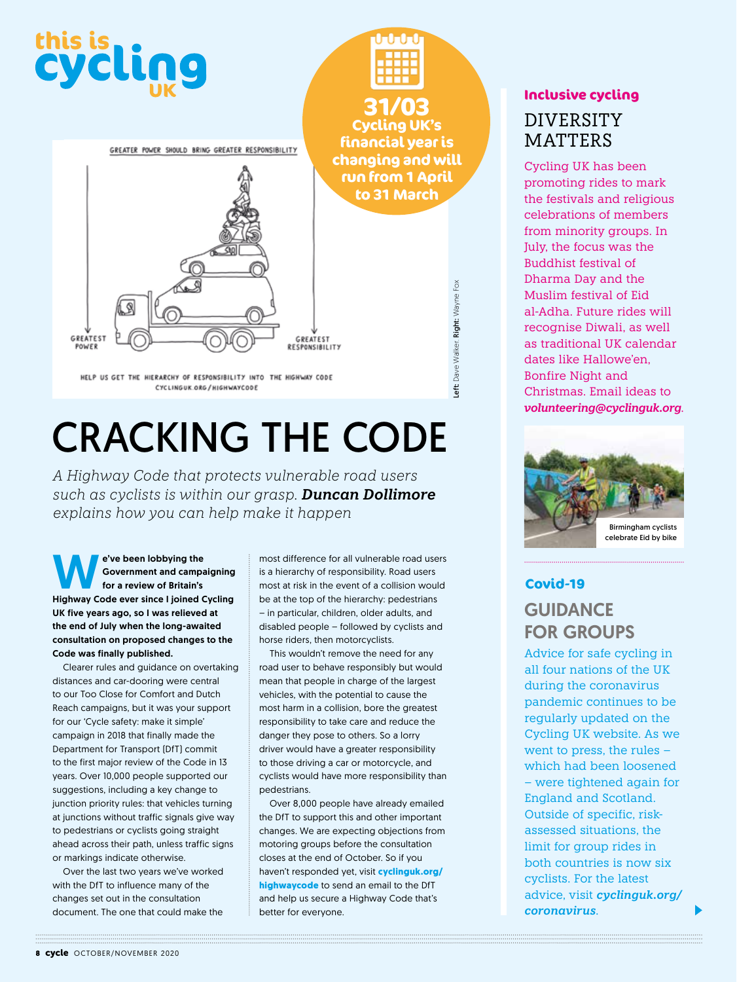

# CRACKING THE CODE

*A Highway Code that protects vulnerable road users such as cyclists is within our grasp. Duncan Dollimore explains how you can help make it happen*

**WE Solution Constraint Solution**<br>For a review of Britain's<br>Highway Code ever since Lighted G Government and campaigning for a review of Britain's Highway Code ever since I joined Cycling UK five years ago, so I was relieved at the end of July when the long-awaited consultation on proposed changes to the Code was finally published.

Clearer rules and guidance on overtaking distances and car-dooring were central to our Too Close for Comfort and Dutch Reach campaigns, but it was your support for our 'Cycle safety: make it simple' campaign in 2018 that finally made the Department for Transport (DfT) commit to the first major review of the Code in 13 years. Over 10,000 people supported our suggestions, including a key change to junction priority rules: that vehicles turning at junctions without traffic signals give way to pedestrians or cyclists going straight ahead across their path, unless traffic signs or markings indicate otherwise.

Over the last two years we've worked with the DfT to influence many of the changes set out in the consultation document. The one that could make the

most difference for all vulnerable road users is a hierarchy of responsibility. Road users most at risk in the event of a collision would be at the top of the hierarchy: pedestrians – in particular, children, older adults, and disabled people – followed by cyclists and horse riders, then motorcyclists.

This wouldn't remove the need for any road user to behave responsibly but would mean that people in charge of the largest vehicles, with the potential to cause the most harm in a collision, bore the greatest responsibility to take care and reduce the danger they pose to others. So a lorry driver would have a greater responsibility to those driving a car or motorcycle, and cyclists would have more responsibility than pedestrians.

Over 8,000 people have already emailed the DfT to support this and other important changes. We are expecting objections from motoring groups before the consultation closes at the end of October. So if you haven't responded yet, visit **cyclinguk.org/ highwaycode** to send an email to the DfT and help us secure a Highway Code that's better for everyone.

#### **Inclusive cycling**

DIVERSITY **MATTERS** 

Cycling UK has been promoting rides to mark the festivals and religious celebrations of members from minority groups. In July, the focus was the Buddhist festival of Dharma Day and the Muslim festival of Eid al-Adha. Future rides will recognise Diwali, as well as traditional UK calendar dates like Hallowe'en, Bonfire Night and Christmas. Email ideas to *volunteering@cyclinguk.org*.



#### **Covid-19 GUIDANCE** FOR GROUPS

Advice for safe cycling in all four nations of the UK during the coronavirus pandemic continues to be regularly updated on the Cycling UK website. As we went to press, the rules – which had been loosened – were tightened again for England and Scotland. Outside of specific, riskassessed situations, the limit for group rides in both countries is now six cyclists. For the latest advice, visit *cyclinguk.org/ coronavirus*.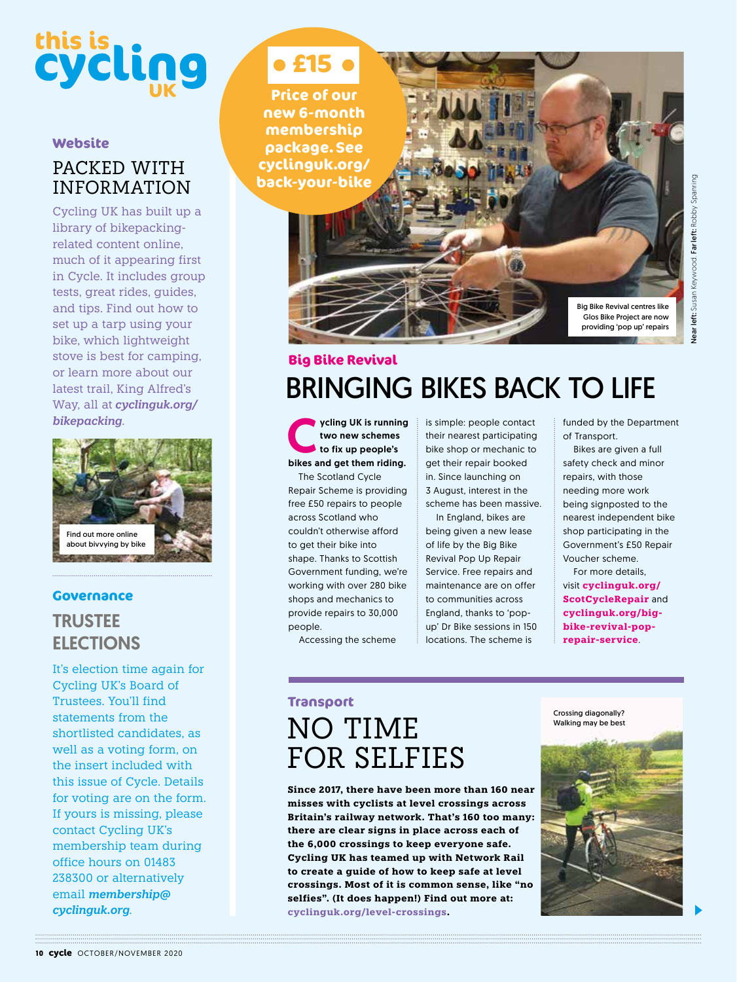# left: Susan Keywood. Far left: Robby Spanring Near left: Susan Keywood. Far left: Robby Spanringyear

# **this is**

#### **Website**

#### PACKED WITH INFORMATION

Cycling UK has built up a library of bikepackingrelated content online, much of it appearing first in Cycle. It includes group tests, great rides, guides, and tips. Find out how to set up a tarp using your bike, which lightweight stove is best for camping, or learn more about our latest trail, King Alfred's Way, all at *cyclinguk.org/ bikepacking*.



#### **Governance**

#### TRUSTEE **ELECTIONS**

It's election time again for Cycling UK's Board of Trustees. You'll find statements from the shortlisted candidates, as well as a voting form, on the insert included with this issue of Cycle. Details for voting are on the form. If yours is missing, please contact Cycling UK's membership team during office hours on 01483 238300 or alternatively email *membership@ cyclinguk.org*.

## **£15**

**Price of our new 6-month membership package. See cyclinguk.org/ back-your-bike**

> Big Bike Revival centres like Glos Bike Project are now providing 'pop up' repairs

#### BRINGING BIKES BACK TO LIFE **Big Bike Revival**

ycling UK is running<br>two new schemes<br>to fix up people's<br>bikes and get them riding. two new schemes to fix up people's The Scotland Cycle

Repair Scheme is providing free £50 repairs to people across Scotland who couldn't otherwise afford to get their bike into shape. Thanks to Scottish Government funding, we're working with over 280 bike shops and mechanics to provide repairs to 30,000 people.

Accessing the scheme

is simple: people contact their nearest participating bike shop or mechanic to get their repair booked in. Since launching on 3 August, interest in the scheme has been massive.

In England, bikes are being given a new lease of life by the Big Bike Revival Pop Up Repair Service. Free repairs and maintenance are on offer to communities across England, thanks to 'popup' Dr Bike sessions in 150 locations. The scheme is

funded by the Department of Transport.

Bikes are given a full safety check and minor repairs, with those needing more work being signposted to the nearest independent bike shop participating in the Government's £50 Repair Voucher scheme.

For more details, visit **cyclinguk.org/ ScotCycleRepair** and **cyclinguk.org/bigbike-revival-poprepair-service**.

### **Transport** NO TIME FOR SELFIES

**Since 2017, there have been more than 160 near misses with cyclists at level crossings across Britain's railway network. That's 160 too many: there are clear signs in place across each of the 6,000 crossings to keep everyone safe. Cycling UK has teamed up with Network Rail to create a guide of how to keep safe at level crossings. Most of it is common sense, like "no selfies". (It does happen!) Find out more at: cyclinguk.org/level-crossings.**

Crossing diagonally? Walking may be best